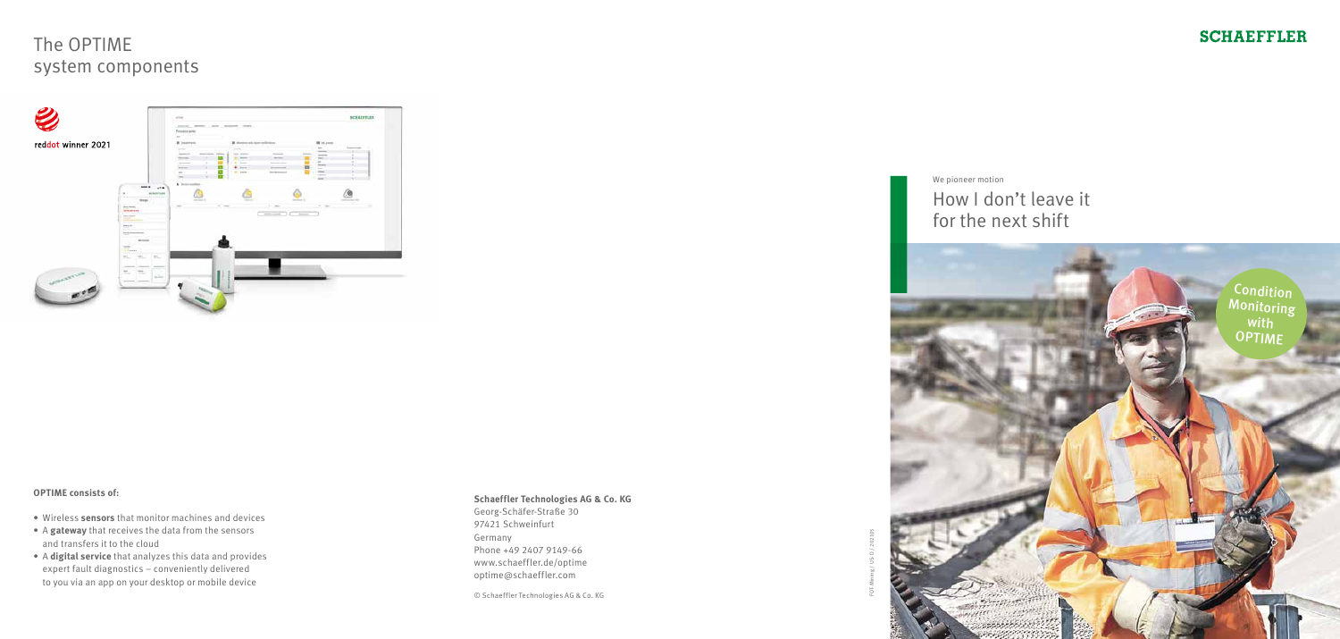# The OPTIME system components



### **OPTIME consists of:**

- Wireless **sensors** that monitor machines and devices
- A **gateway** that receives the data from the sensors and transfers it to the cloud
- A **digital service** that analyzes this data and provides expert fault diagnostics – conveniently delivered to you via an app on your desktop or mobile device



### **Schaeffler Technologies AG & Co. KG**

Georg-Schäfer-Straße 30 97421 Schweinfurt Germany Phone +49 2407 9149-66 www.schaeffler.de/optime optime@schaeffler.com

© Schaeffler Technologies AG & Co. KG



### **SCHAEFFLER**

We pioneer motion

How I don't leave it for the next shift